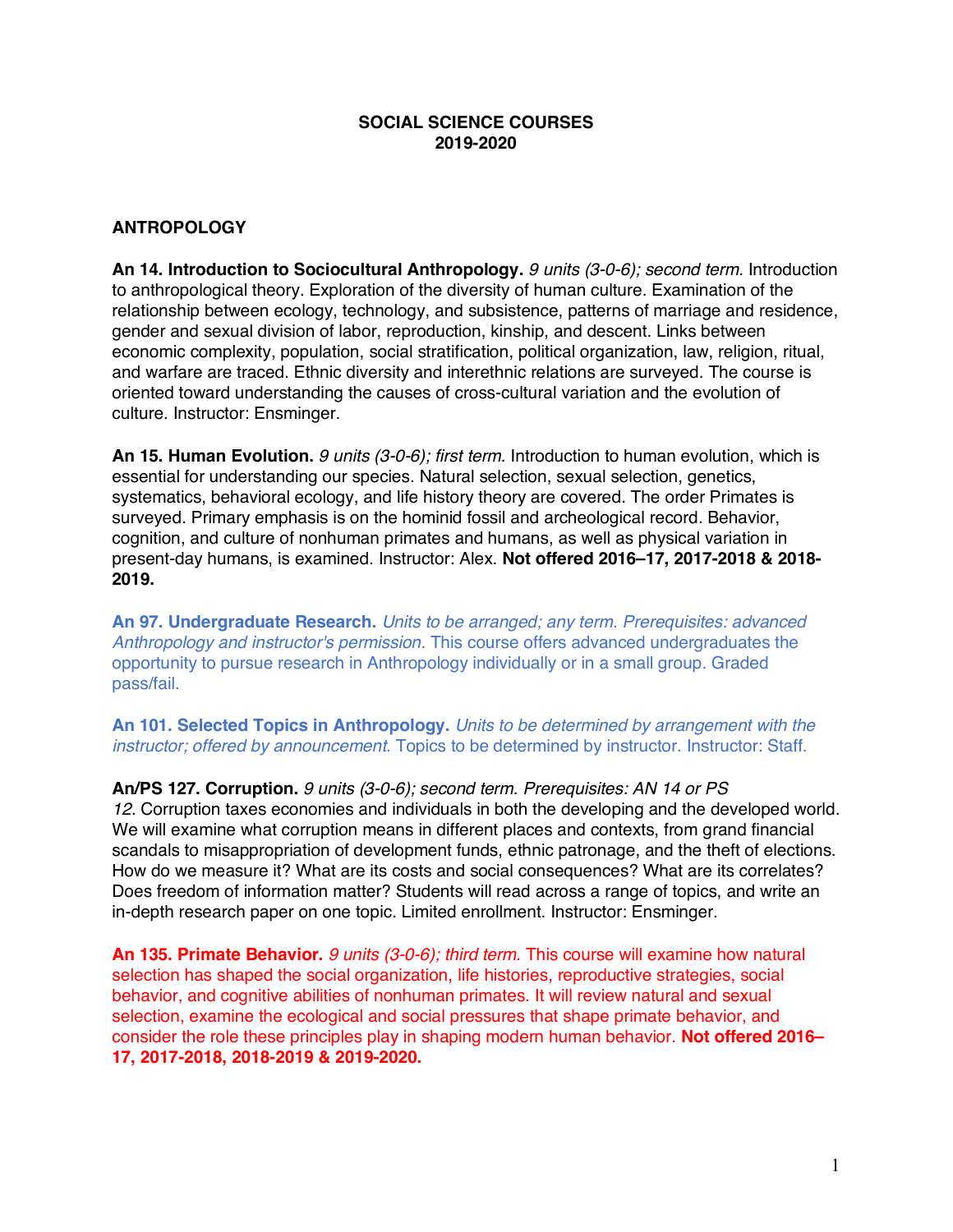## **SOCIAL SCIENCE COURSES 2019-2020**

## **ANTROPOLOGY**

**An 14. Introduction to Sociocultural Anthropology.** *9 units (3-0-6); second term.* Introduction to anthropological theory. Exploration of the diversity of human culture. Examination of the relationship between ecology, technology, and subsistence, patterns of marriage and residence, gender and sexual division of labor, reproduction, kinship, and descent. Links between economic complexity, population, social stratification, political organization, law, religion, ritual, and warfare are traced. Ethnic diversity and interethnic relations are surveyed. The course is oriented toward understanding the causes of cross-cultural variation and the evolution of culture. Instructor: Ensminger.

**An 15. Human Evolution.** *9 units (3-0-6); first term.* Introduction to human evolution, which is essential for understanding our species. Natural selection, sexual selection, genetics, systematics, behavioral ecology, and life history theory are covered. The order Primates is surveyed. Primary emphasis is on the hominid fossil and archeological record. Behavior, cognition, and culture of nonhuman primates and humans, as well as physical variation in present-day humans, is examined. Instructor: Alex. **Not offered 2016–17, 2017-2018 & 2018- 2019.**

**An 97. Undergraduate Research.** *Units to be arranged; any term. Prerequisites: advanced Anthropology and instructor's permission.* This course offers advanced undergraduates the opportunity to pursue research in Anthropology individually or in a small group. Graded pass/fail.

**An 101. Selected Topics in Anthropology.** *Units to be determined by arrangement with the instructor; offered by announcement.* Topics to be determined by instructor. Instructor: Staff.

**An/PS 127. Corruption.** *9 units (3-0-6); second term. Prerequisites: AN 14 or PS 12.* Corruption taxes economies and individuals in both the developing and the developed world. We will examine what corruption means in different places and contexts, from grand financial scandals to misappropriation of development funds, ethnic patronage, and the theft of elections. How do we measure it? What are its costs and social consequences? What are its correlates? Does freedom of information matter? Students will read across a range of topics, and write an in-depth research paper on one topic. Limited enrollment. Instructor: Ensminger.

**An 135. Primate Behavior.** *9 units (3-0-6); third term.* This course will examine how natural selection has shaped the social organization, life histories, reproductive strategies, social behavior, and cognitive abilities of nonhuman primates. It will review natural and sexual selection, examine the ecological and social pressures that shape primate behavior, and consider the role these principles play in shaping modern human behavior. **Not offered 2016– 17, 2017-2018, 2018-2019 & 2019-2020.**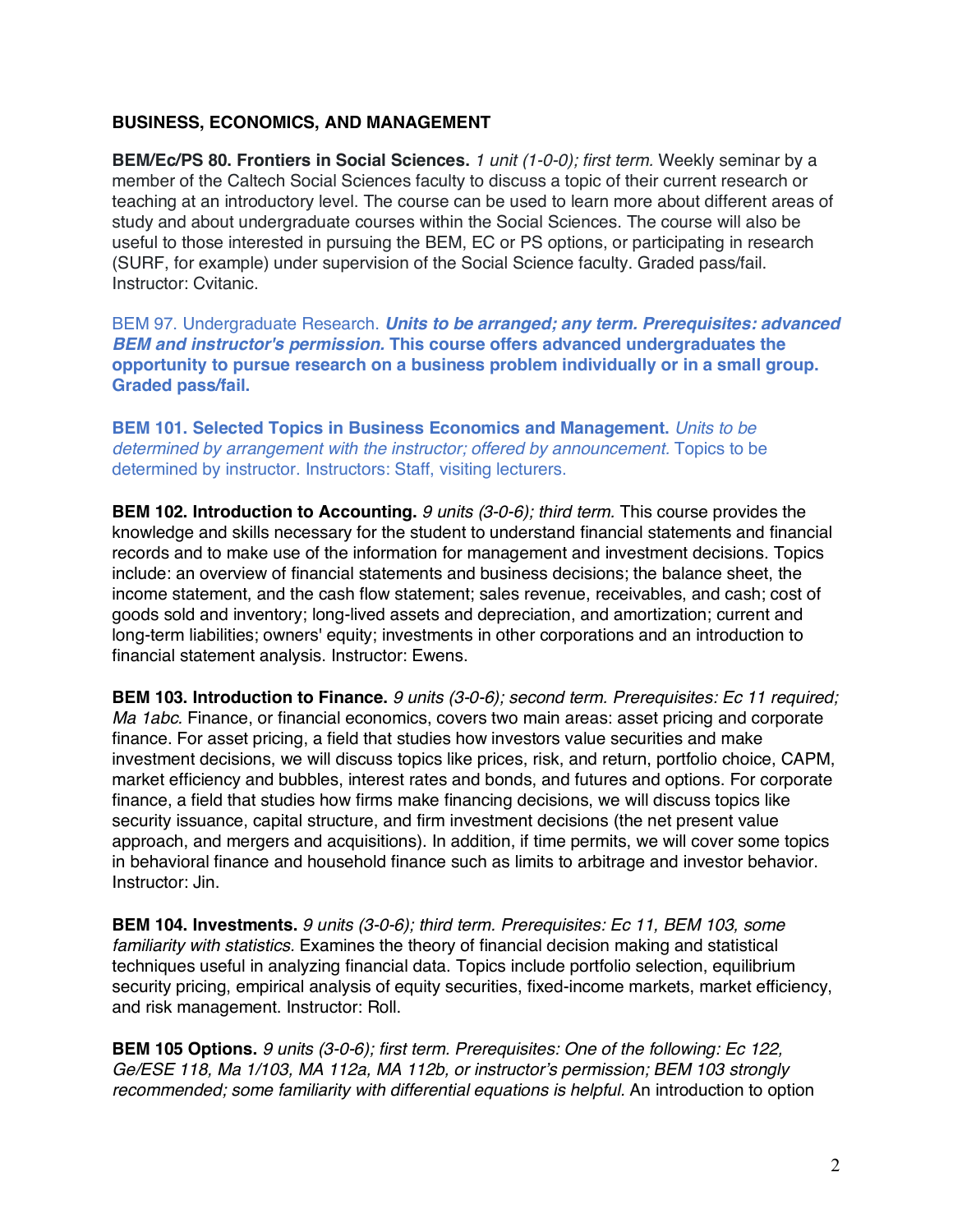## **BUSINESS, ECONOMICS, AND MANAGEMENT**

**BEM/Ec/PS 80. Frontiers in Social Sciences.** *1 unit (1-0-0); first term.* Weekly seminar by a member of the Caltech Social Sciences faculty to discuss a topic of their current research or teaching at an introductory level. The course can be used to learn more about different areas of study and about undergraduate courses within the Social Sciences. The course will also be useful to those interested in pursuing the BEM, EC or PS options, or participating in research (SURF, for example) under supervision of the Social Science faculty. Graded pass/fail. Instructor: Cvitanic.

BEM 97. Undergraduate Research. *Units to be arranged; any term. Prerequisites: advanced BEM and instructor's permission.* **This course offers advanced undergraduates the opportunity to pursue research on a business problem individually or in a small group. Graded pass/fail.**

**BEM 101. Selected Topics in Business Economics and Management.** *Units to be determined by arrangement with the instructor; offered by announcement.* Topics to be determined by instructor. Instructors: Staff, visiting lecturers.

**BEM 102. Introduction to Accounting.** *9 units (3-0-6); third term.* This course provides the knowledge and skills necessary for the student to understand financial statements and financial records and to make use of the information for management and investment decisions. Topics include: an overview of financial statements and business decisions; the balance sheet, the income statement, and the cash flow statement; sales revenue, receivables, and cash; cost of goods sold and inventory; long-lived assets and depreciation, and amortization; current and long-term liabilities; owners' equity; investments in other corporations and an introduction to financial statement analysis. Instructor: Ewens.

**BEM 103. Introduction to Finance.** *9 units (3-0-6); second term. Prerequisites: Ec 11 required; Ma 1abc.* Finance, or financial economics, covers two main areas: asset pricing and corporate finance. For asset pricing, a field that studies how investors value securities and make investment decisions, we will discuss topics like prices, risk, and return, portfolio choice, CAPM, market efficiency and bubbles, interest rates and bonds, and futures and options. For corporate finance, a field that studies how firms make financing decisions, we will discuss topics like security issuance, capital structure, and firm investment decisions (the net present value approach, and mergers and acquisitions). In addition, if time permits, we will cover some topics in behavioral finance and household finance such as limits to arbitrage and investor behavior. Instructor: Jin.

**BEM 104. Investments.** *9 units (3-0-6); third term. Prerequisites: Ec 11, BEM 103, some familiarity with statistics.* Examines the theory of financial decision making and statistical techniques useful in analyzing financial data. Topics include portfolio selection, equilibrium security pricing, empirical analysis of equity securities, fixed-income markets, market efficiency, and risk management. Instructor: Roll.

**BEM 105 Options.** *9 units (3-0-6); first term. Prerequisites: One of the following: Ec 122, Ge/ESE 118, Ma 1/103, MA 112a, MA 112b, or instructor's permission; BEM 103 strongly recommended; some familiarity with differential equations is helpful.* An introduction to option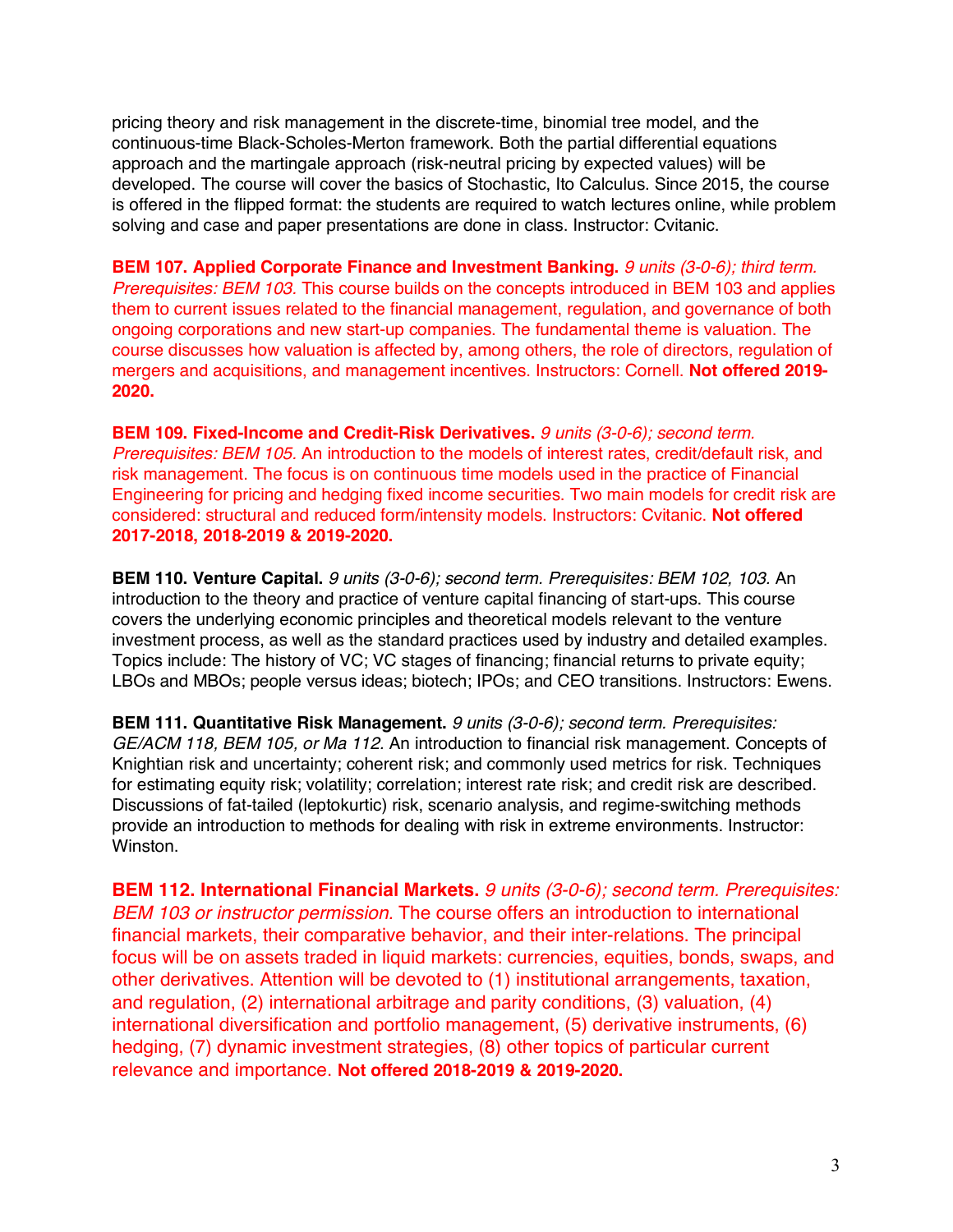pricing theory and risk management in the discrete-time, binomial tree model, and the continuous-time Black-Scholes-Merton framework. Both the partial differential equations approach and the martingale approach (risk-neutral pricing by expected values) will be developed. The course will cover the basics of Stochastic, Ito Calculus. Since 2015, the course is offered in the flipped format: the students are required to watch lectures online, while problem solving and case and paper presentations are done in class. Instructor: Cvitanic.

**BEM 107. Applied Corporate Finance and Investment Banking.** *9 units (3-0-6); third term. Prerequisites: BEM 103.* This course builds on the concepts introduced in BEM 103 and applies them to current issues related to the financial management, regulation, and governance of both ongoing corporations and new start-up companies. The fundamental theme is valuation. The course discusses how valuation is affected by, among others, the role of directors, regulation of mergers and acquisitions, and management incentives. Instructors: Cornell. **Not offered 2019- 2020.**

**BEM 109. Fixed-Income and Credit-Risk Derivatives.** *9 units (3-0-6); second term. Prerequisites: BEM 105.* An introduction to the models of interest rates, credit/default risk, and risk management. The focus is on continuous time models used in the practice of Financial Engineering for pricing and hedging fixed income securities. Two main models for credit risk are considered: structural and reduced form/intensity models. Instructors: Cvitanic. **Not offered 2017-2018, 2018-2019 & 2019-2020.**

**BEM 110. Venture Capital.** *9 units (3-0-6); second term. Prerequisites: BEM 102, 103.* An introduction to the theory and practice of venture capital financing of start-ups. This course covers the underlying economic principles and theoretical models relevant to the venture investment process, as well as the standard practices used by industry and detailed examples. Topics include: The history of VC; VC stages of financing; financial returns to private equity; LBOs and MBOs; people versus ideas; biotech; IPOs; and CEO transitions. Instructors: Ewens.

**BEM 111. Quantitative Risk Management.** *9 units (3-0-6); second term. Prerequisites: GE/ACM 118, BEM 105, or Ma 112.* An introduction to financial risk management. Concepts of Knightian risk and uncertainty; coherent risk; and commonly used metrics for risk. Techniques for estimating equity risk; volatility; correlation; interest rate risk; and credit risk are described. Discussions of fat-tailed (leptokurtic) risk, scenario analysis, and regime-switching methods provide an introduction to methods for dealing with risk in extreme environments. Instructor: Winston.

**BEM 112. International Financial Markets.** *9 units (3-0-6); second term. Prerequisites: BEM 103 or instructor permission.* The course offers an introduction to international financial markets, their comparative behavior, and their inter-relations. The principal focus will be on assets traded in liquid markets: currencies, equities, bonds, swaps, and other derivatives. Attention will be devoted to (1) institutional arrangements, taxation, and regulation, (2) international arbitrage and parity conditions, (3) valuation, (4) international diversification and portfolio management, (5) derivative instruments, (6) hedging, (7) dynamic investment strategies, (8) other topics of particular current relevance and importance. **Not offered 2018-2019 & 2019-2020.**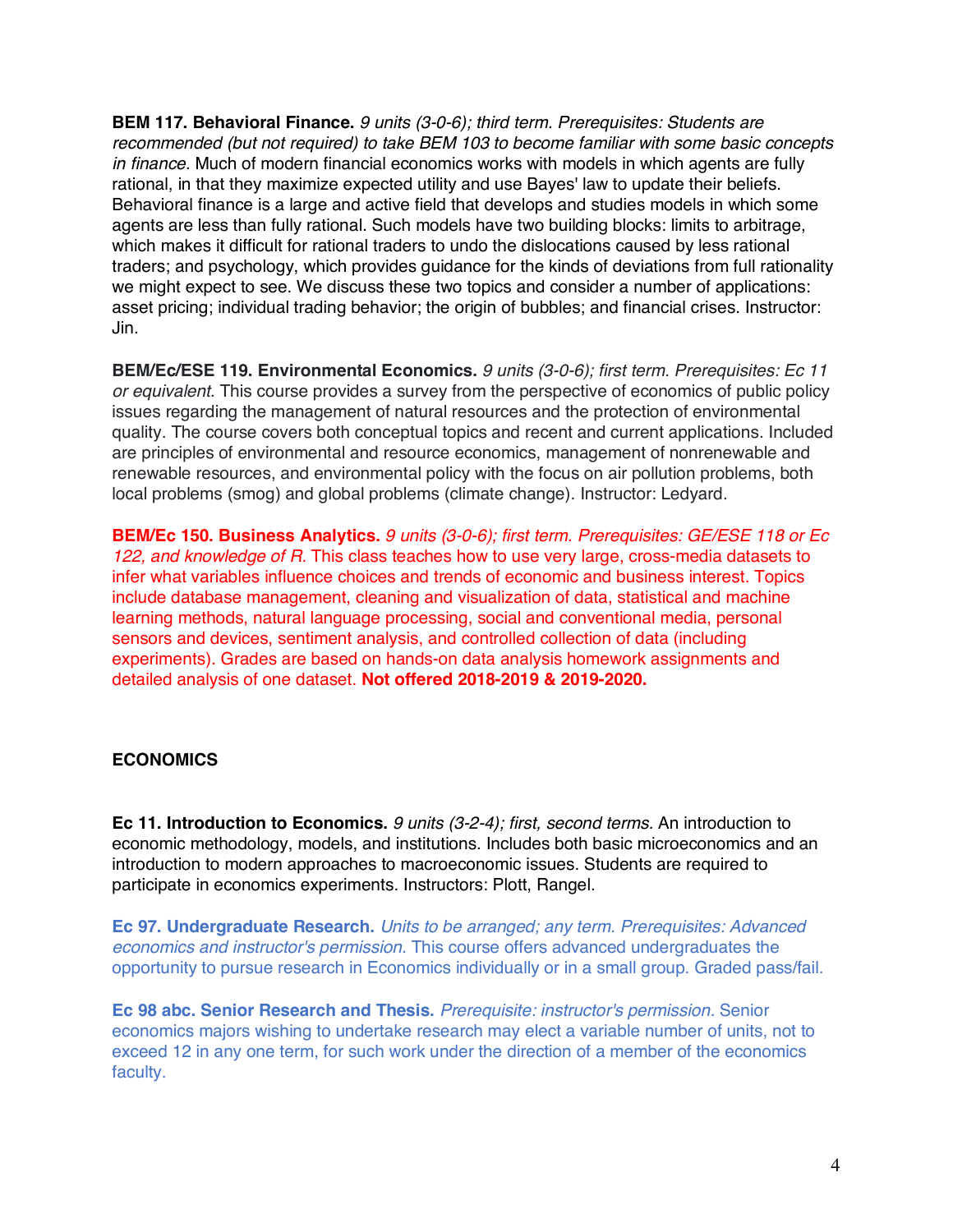**BEM 117. Behavioral Finance.** *9 units (3-0-6); third term. Prerequisites: Students are recommended (but not required) to take BEM 103 to become familiar with some basic concepts in finance.* Much of modern financial economics works with models in which agents are fully rational, in that they maximize expected utility and use Bayes' law to update their beliefs. Behavioral finance is a large and active field that develops and studies models in which some agents are less than fully rational. Such models have two building blocks: limits to arbitrage, which makes it difficult for rational traders to undo the dislocations caused by less rational traders; and psychology, which provides guidance for the kinds of deviations from full rationality we might expect to see. We discuss these two topics and consider a number of applications: asset pricing; individual trading behavior; the origin of bubbles; and financial crises. Instructor: Jin.

**BEM/Ec/ESE 119. Environmental Economics.** *9 units (3-0-6); first term. Prerequisites: Ec 11 or equivalent.* This course provides a survey from the perspective of economics of public policy issues regarding the management of natural resources and the protection of environmental quality. The course covers both conceptual topics and recent and current applications. Included are principles of environmental and resource economics, management of nonrenewable and renewable resources, and environmental policy with the focus on air pollution problems, both local problems (smog) and global problems (climate change). Instructor: Ledyard.

**BEM/Ec 150. Business Analytics.** *9 units (3-0-6); first term. Prerequisites: GE/ESE 118 or Ec 122, and knowledge of R.* This class teaches how to use very large, cross-media datasets to infer what variables influence choices and trends of economic and business interest. Topics include database management, cleaning and visualization of data, statistical and machine learning methods, natural language processing, social and conventional media, personal sensors and devices, sentiment analysis, and controlled collection of data (including experiments). Grades are based on hands-on data analysis homework assignments and detailed analysis of one dataset. **Not offered 2018-2019 & 2019-2020.**

#### **ECONOMICS**

**Ec 11. Introduction to Economics.** *9 units (3-2-4); first, second terms.* An introduction to economic methodology, models, and institutions. Includes both basic microeconomics and an introduction to modern approaches to macroeconomic issues. Students are required to participate in economics experiments. Instructors: Plott, Rangel.

**Ec 97. Undergraduate Research.** *Units to be arranged; any term. Prerequisites: Advanced economics and instructor's permission.* This course offers advanced undergraduates the opportunity to pursue research in Economics individually or in a small group. Graded pass/fail.

**Ec 98 abc. Senior Research and Thesis.** *Prerequisite: instructor's permission.* Senior economics majors wishing to undertake research may elect a variable number of units, not to exceed 12 in any one term, for such work under the direction of a member of the economics faculty.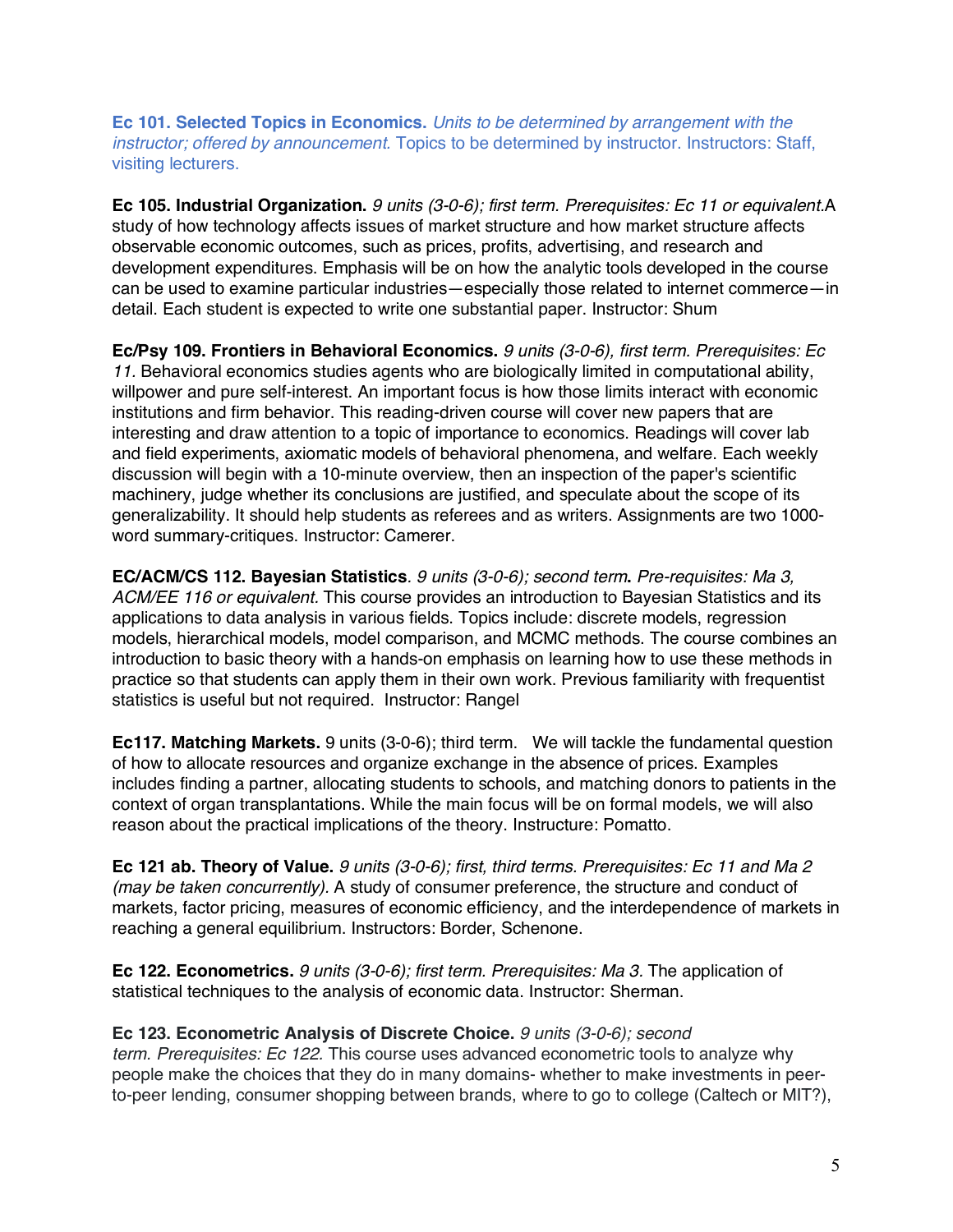**Ec 101. Selected Topics in Economics.** *Units to be determined by arrangement with the instructor; offered by announcement.* Topics to be determined by instructor. Instructors: Staff, visiting lecturers.

**Ec 105. Industrial Organization.** *9 units (3-0-6); first term. Prerequisites: Ec 11 or equivalent.*A study of how technology affects issues of market structure and how market structure affects observable economic outcomes, such as prices, profits, advertising, and research and development expenditures. Emphasis will be on how the analytic tools developed in the course can be used to examine particular industries—especially those related to internet commerce—in detail. Each student is expected to write one substantial paper. Instructor: Shum

**Ec/Psy 109. Frontiers in Behavioral Economics.** *9 units (3-0-6), first term. Prerequisites: Ec 11.* Behavioral economics studies agents who are biologically limited in computational ability, willpower and pure self-interest. An important focus is how those limits interact with economic institutions and firm behavior. This reading-driven course will cover new papers that are interesting and draw attention to a topic of importance to economics. Readings will cover lab and field experiments, axiomatic models of behavioral phenomena, and welfare. Each weekly discussion will begin with a 10-minute overview, then an inspection of the paper's scientific machinery, judge whether its conclusions are justified, and speculate about the scope of its generalizability. It should help students as referees and as writers. Assignments are two 1000 word summary-critiques. Instructor: Camerer.

**EC/ACM/CS 112. Bayesian Statistics***. 9 units (3-0-6); second term***.** *Pre-requisites: Ma 3, ACM/EE 116 or equivalent.* This course provides an introduction to Bayesian Statistics and its applications to data analysis in various fields. Topics include: discrete models, regression models, hierarchical models, model comparison, and MCMC methods. The course combines an introduction to basic theory with a hands-on emphasis on learning how to use these methods in practice so that students can apply them in their own work. Previous familiarity with frequentist statistics is useful but not required. Instructor: Rangel

**Ec117. Matching Markets.** 9 units (3-0-6); third term. We will tackle the fundamental question of how to allocate resources and organize exchange in the absence of prices. Examples includes finding a partner, allocating students to schools, and matching donors to patients in the context of organ transplantations. While the main focus will be on formal models, we will also reason about the practical implications of the theory. Instructure: Pomatto.

**Ec 121 ab. Theory of Value.** *9 units (3-0-6); first, third terms. Prerequisites: Ec 11 and Ma 2 (may be taken concurrently).* A study of consumer preference, the structure and conduct of markets, factor pricing, measures of economic efficiency, and the interdependence of markets in reaching a general equilibrium. Instructors: Border, Schenone.

**Ec 122. Econometrics.** *9 units (3-0-6); first term. Prerequisites: Ma 3.* The application of statistical techniques to the analysis of economic data. Instructor: Sherman.

#### **Ec 123. Econometric Analysis of Discrete Choice.** *9 units (3-0-6); second*

*term. Prerequisites: Ec 122.* This course uses advanced econometric tools to analyze why people make the choices that they do in many domains- whether to make investments in peerto-peer lending, consumer shopping between brands, where to go to college (Caltech or MIT?),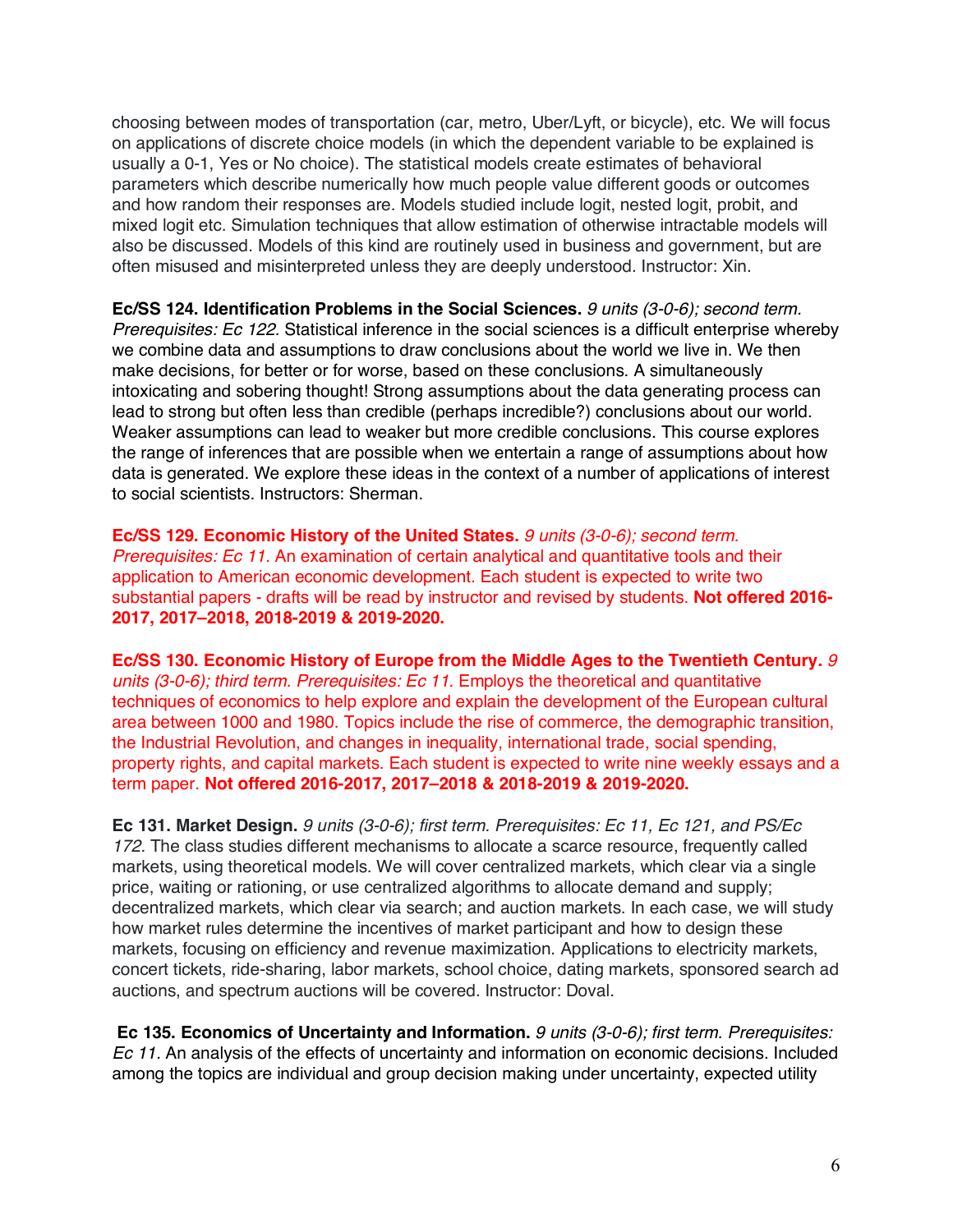choosing between modes of transportation (car, metro, Uber/Lyft, or bicycle), etc. We will focus on applications of discrete choice models (in which the dependent variable to be explained is usually a 0-1, Yes or No choice). The statistical models create estimates of behavioral parameters which describe numerically how much people value different goods or outcomes and how random their responses are. Models studied include logit, nested logit, probit, and mixed logit etc. Simulation techniques that allow estimation of otherwise intractable models will also be discussed. Models of this kind are routinely used in business and government, but are often misused and misinterpreted unless they are deeply understood. Instructor: Xin.

**Ec/SS 124. Identification Problems in the Social Sciences.** *9 units (3-0-6); second term. Prerequisites: Ec 122.* Statistical inference in the social sciences is a difficult enterprise whereby we combine data and assumptions to draw conclusions about the world we live in. We then make decisions, for better or for worse, based on these conclusions. A simultaneously intoxicating and sobering thought! Strong assumptions about the data generating process can lead to strong but often less than credible (perhaps incredible?) conclusions about our world. Weaker assumptions can lead to weaker but more credible conclusions. This course explores the range of inferences that are possible when we entertain a range of assumptions about how data is generated. We explore these ideas in the context of a number of applications of interest to social scientists. Instructors: Sherman.

**Ec/SS 129. Economic History of the United States.** *9 units (3-0-6); second term. Prerequisites: Ec 11.* An examination of certain analytical and quantitative tools and their application to American economic development. Each student is expected to write two substantial papers - drafts will be read by instructor and revised by students. **Not offered 2016- 2017, 2017–2018, 2018-2019 & 2019-2020.**

**Ec/SS 130. Economic History of Europe from the Middle Ages to the Twentieth Century.** *9 units (3-0-6); third term. Prerequisites: Ec 11.* Employs the theoretical and quantitative techniques of economics to help explore and explain the development of the European cultural area between 1000 and 1980. Topics include the rise of commerce, the demographic transition, the Industrial Revolution, and changes in inequality, international trade, social spending, property rights, and capital markets. Each student is expected to write nine weekly essays and a term paper. **Not offered 2016-2017, 2017–2018 & 2018-2019 & 2019-2020.**

**Ec 131. Market Design.** *9 units (3-0-6); first term. Prerequisites: Ec 11, Ec 121, and PS/Ec 172.* The class studies different mechanisms to allocate a scarce resource, frequently called markets, using theoretical models. We will cover centralized markets, which clear via a single price, waiting or rationing, or use centralized algorithms to allocate demand and supply; decentralized markets, which clear via search; and auction markets. In each case, we will study how market rules determine the incentives of market participant and how to design these markets, focusing on efficiency and revenue maximization. Applications to electricity markets, concert tickets, ride-sharing, labor markets, school choice, dating markets, sponsored search ad auctions, and spectrum auctions will be covered. Instructor: Doval.

**Ec 135. Economics of Uncertainty and Information.** *9 units (3-0-6); first term. Prerequisites: Ec 11.* An analysis of the effects of uncertainty and information on economic decisions. Included among the topics are individual and group decision making under uncertainty, expected utility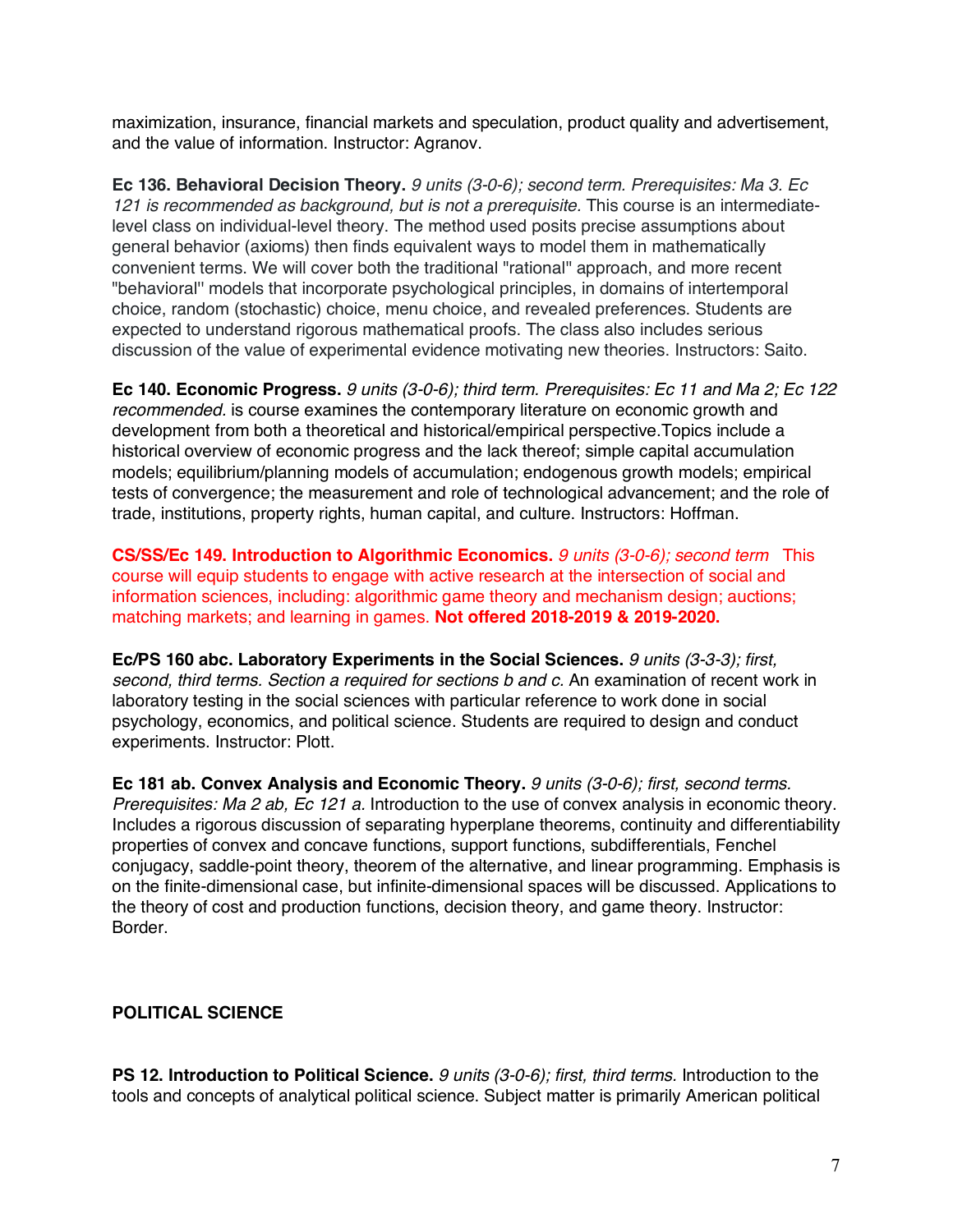maximization, insurance, financial markets and speculation, product quality and advertisement, and the value of information. Instructor: Agranov.

**Ec 136. Behavioral Decision Theory.** *9 units (3-0-6); second term. Prerequisites: Ma 3. Ec 121 is recommended as background, but is not a prerequisite.* This course is an intermediatelevel class on individual-level theory. The method used posits precise assumptions about general behavior (axioms) then finds equivalent ways to model them in mathematically convenient terms. We will cover both the traditional "rational'' approach, and more recent "behavioral'' models that incorporate psychological principles, in domains of intertemporal choice, random (stochastic) choice, menu choice, and revealed preferences. Students are expected to understand rigorous mathematical proofs. The class also includes serious discussion of the value of experimental evidence motivating new theories. Instructors: Saito.

**Ec 140. Economic Progress.** *9 units (3-0-6); third term. Prerequisites: Ec 11 and Ma 2; Ec 122 recommended.* is course examines the contemporary literature on economic growth and development from both a theoretical and historical/empirical perspective.Topics include a historical overview of economic progress and the lack thereof; simple capital accumulation models; equilibrium/planning models of accumulation; endogenous growth models; empirical tests of convergence; the measurement and role of technological advancement; and the role of trade, institutions, property rights, human capital, and culture. Instructors: Hoffman.

**CS/SS/Ec 149. Introduction to Algorithmic Economics.** *9 units (3-0-6); second term* This course will equip students to engage with active research at the intersection of social and information sciences, including: algorithmic game theory and mechanism design; auctions; matching markets; and learning in games. **Not offered 2018-2019 & 2019-2020.**

**Ec/PS 160 abc. Laboratory Experiments in the Social Sciences.** *9 units (3-3-3); first, second, third terms. Section a required for sections b and c.* An examination of recent work in laboratory testing in the social sciences with particular reference to work done in social psychology, economics, and political science. Students are required to design and conduct experiments. Instructor: Plott.

**Ec 181 ab. Convex Analysis and Economic Theory.** *9 units (3-0-6); first, second terms. Prerequisites: Ma 2 ab, Ec 121 a.* Introduction to the use of convex analysis in economic theory. Includes a rigorous discussion of separating hyperplane theorems, continuity and differentiability properties of convex and concave functions, support functions, subdifferentials, Fenchel conjugacy, saddle-point theory, theorem of the alternative, and linear programming. Emphasis is on the finite-dimensional case, but infinite-dimensional spaces will be discussed. Applications to the theory of cost and production functions, decision theory, and game theory. Instructor: Border.

## **POLITICAL SCIENCE**

**PS 12. Introduction to Political Science.** *9 units (3-0-6); first, third terms.* Introduction to the tools and concepts of analytical political science. Subject matter is primarily American political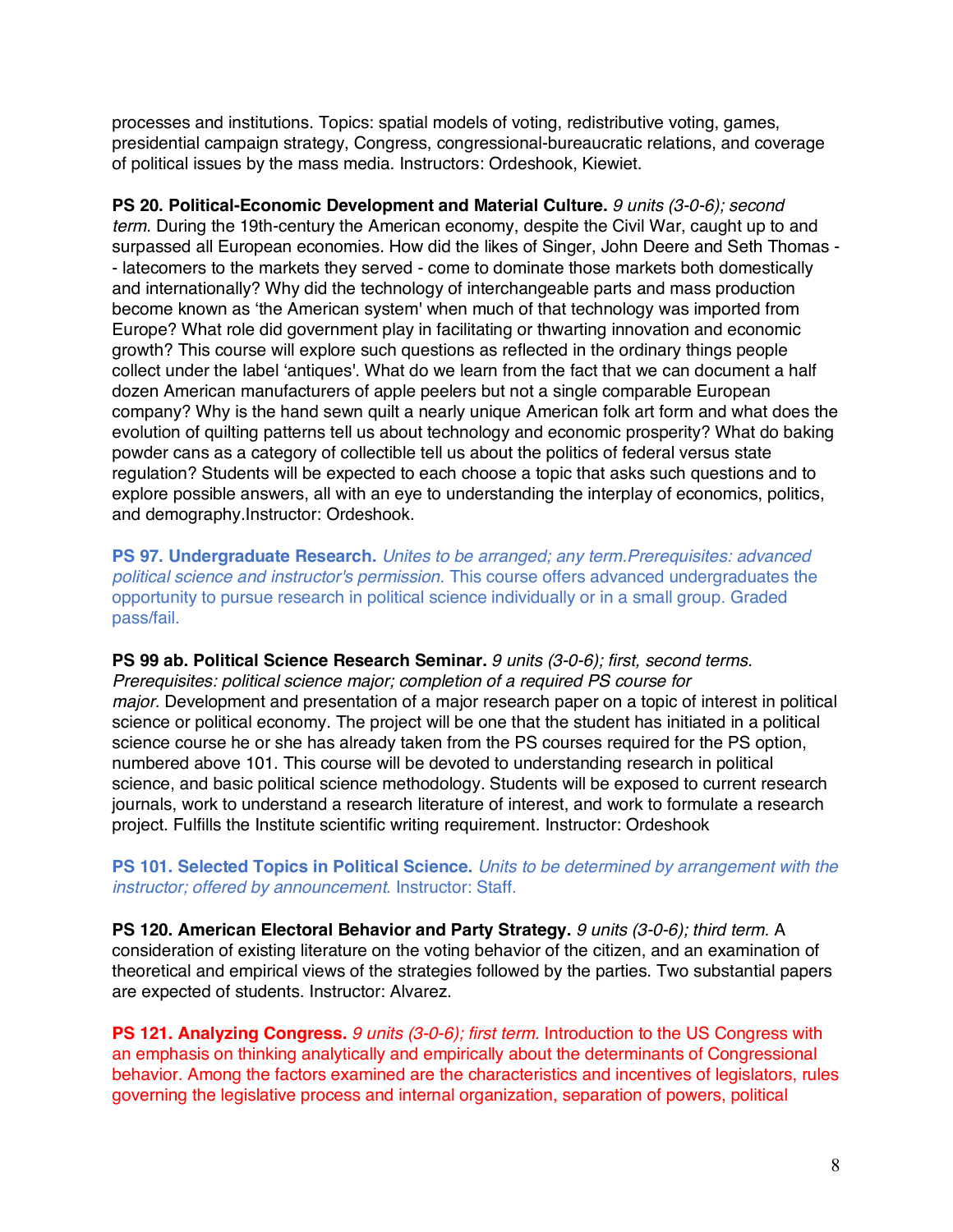processes and institutions. Topics: spatial models of voting, redistributive voting, games, presidential campaign strategy, Congress, congressional-bureaucratic relations, and coverage of political issues by the mass media. Instructors: Ordeshook, Kiewiet.

**PS 20. Political-Economic Development and Material Culture.** *9 units (3-0-6); second term.* During the 19th-century the American economy, despite the Civil War, caught up to and surpassed all European economies. How did the likes of Singer, John Deere and Seth Thomas - - latecomers to the markets they served - come to dominate those markets both domestically and internationally? Why did the technology of interchangeable parts and mass production become known as 'the American system' when much of that technology was imported from Europe? What role did government play in facilitating or thwarting innovation and economic growth? This course will explore such questions as reflected in the ordinary things people collect under the label 'antiques'. What do we learn from the fact that we can document a half dozen American manufacturers of apple peelers but not a single comparable European company? Why is the hand sewn quilt a nearly unique American folk art form and what does the evolution of quilting patterns tell us about technology and economic prosperity? What do baking powder cans as a category of collectible tell us about the politics of federal versus state regulation? Students will be expected to each choose a topic that asks such questions and to explore possible answers, all with an eye to understanding the interplay of economics, politics, and demography.Instructor: Ordeshook.

**PS 97. Undergraduate Research.** *Unites to be arranged; any term.Prerequisites: advanced political science and instructor's permission.* This course offers advanced undergraduates the opportunity to pursue research in political science individually or in a small group. Graded pass/fail.

**PS 99 ab. Political Science Research Seminar.** *9 units (3-0-6); first, second terms. Prerequisites: political science major; completion of a required PS course for major.* Development and presentation of a major research paper on a topic of interest in political science or political economy. The project will be one that the student has initiated in a political science course he or she has already taken from the PS courses required for the PS option, numbered above 101. This course will be devoted to understanding research in political science, and basic political science methodology. Students will be exposed to current research journals, work to understand a research literature of interest, and work to formulate a research project. Fulfills the Institute scientific writing requirement. Instructor: Ordeshook

**PS 101. Selected Topics in Political Science.** *Units to be determined by arrangement with the instructor; offered by announcement.* Instructor: Staff.

**PS 120. American Electoral Behavior and Party Strategy.** *9 units (3-0-6); third term.* A consideration of existing literature on the voting behavior of the citizen, and an examination of theoretical and empirical views of the strategies followed by the parties. Two substantial papers are expected of students. Instructor: Alvarez.

**PS 121. Analyzing Congress.** *9 units (3-0-6); first term.* Introduction to the US Congress with an emphasis on thinking analytically and empirically about the determinants of Congressional behavior. Among the factors examined are the characteristics and incentives of legislators, rules governing the legislative process and internal organization, separation of powers, political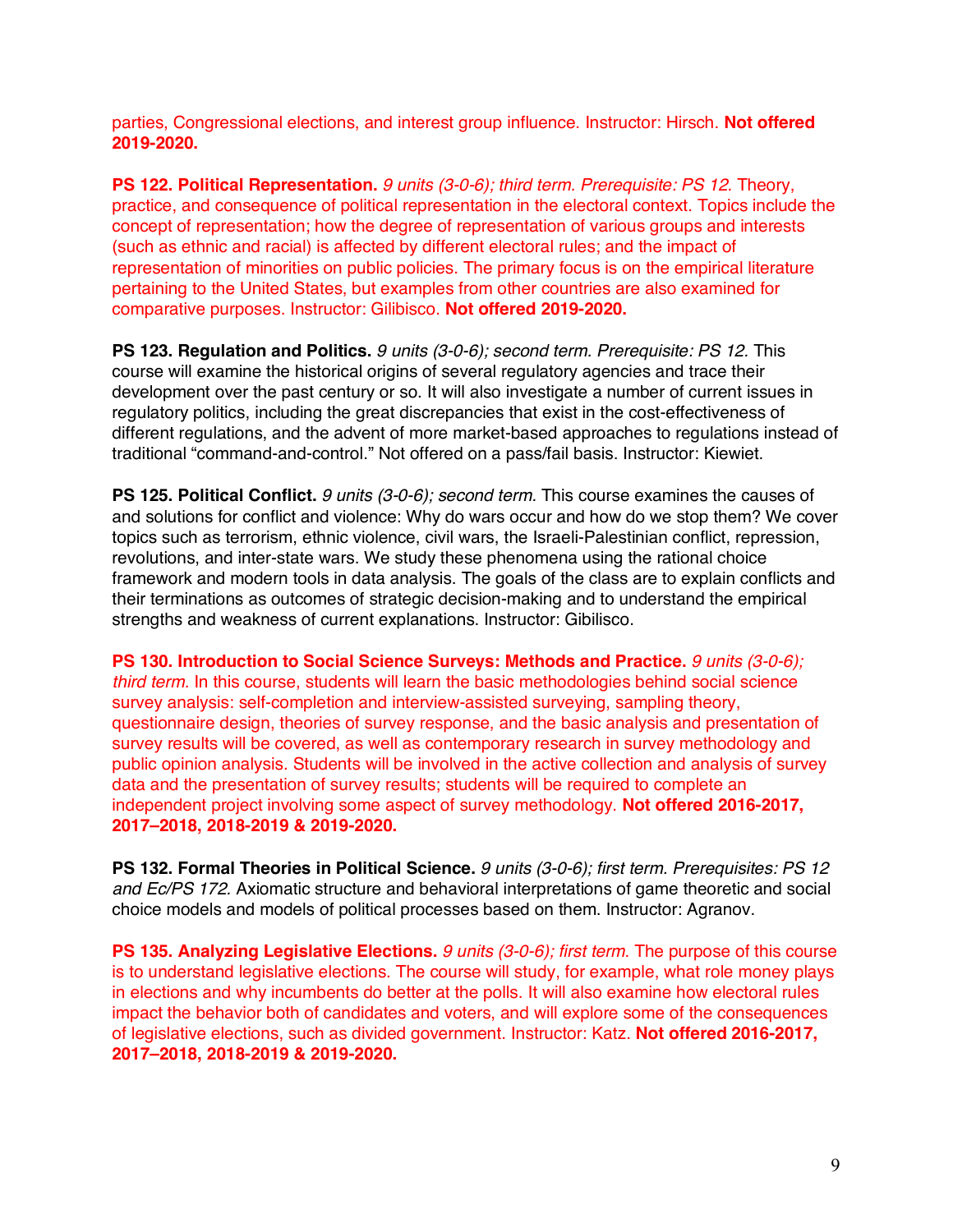parties, Congressional elections, and interest group influence. Instructor: Hirsch. **Not offered 2019-2020.**

**PS 122. Political Representation.** *9 units (3-0-6); third term. Prerequisite: PS 12.* Theory, practice, and consequence of political representation in the electoral context. Topics include the concept of representation; how the degree of representation of various groups and interests (such as ethnic and racial) is affected by different electoral rules; and the impact of representation of minorities on public policies. The primary focus is on the empirical literature pertaining to the United States, but examples from other countries are also examined for comparative purposes. Instructor: Gilibisco. **Not offered 2019-2020.**

**PS 123. Regulation and Politics.** *9 units (3-0-6); second term. Prerequisite: PS 12.* This course will examine the historical origins of several regulatory agencies and trace their development over the past century or so. It will also investigate a number of current issues in regulatory politics, including the great discrepancies that exist in the cost-effectiveness of different regulations, and the advent of more market-based approaches to regulations instead of traditional "command-and-control." Not offered on a pass/fail basis. Instructor: Kiewiet.

**PS 125. Political Conflict.** *9 units (3-0-6); second term.* This course examines the causes of and solutions for conflict and violence: Why do wars occur and how do we stop them? We cover topics such as terrorism, ethnic violence, civil wars, the Israeli-Palestinian conflict, repression, revolutions, and inter-state wars. We study these phenomena using the rational choice framework and modern tools in data analysis. The goals of the class are to explain conflicts and their terminations as outcomes of strategic decision-making and to understand the empirical strengths and weakness of current explanations. Instructor: Gibilisco.

**PS 130. Introduction to Social Science Surveys: Methods and Practice.** *9 units (3-0-6); third term.* In this course, students will learn the basic methodologies behind social science survey analysis: self-completion and interview-assisted surveying, sampling theory, questionnaire design, theories of survey response, and the basic analysis and presentation of survey results will be covered, as well as contemporary research in survey methodology and public opinion analysis. Students will be involved in the active collection and analysis of survey data and the presentation of survey results; students will be required to complete an independent project involving some aspect of survey methodology. **Not offered 2016-2017, 2017–2018, 2018-2019 & 2019-2020.**

**PS 132. Formal Theories in Political Science.** *9 units (3-0-6); first term. Prerequisites: PS 12 and Ec/PS 172.* Axiomatic structure and behavioral interpretations of game theoretic and social choice models and models of political processes based on them. Instructor: Agranov.

**PS 135. Analyzing Legislative Elections.** *9 units (3-0-6); first term.* The purpose of this course is to understand legislative elections. The course will study, for example, what role money plays in elections and why incumbents do better at the polls. It will also examine how electoral rules impact the behavior both of candidates and voters, and will explore some of the consequences of legislative elections, such as divided government. Instructor: Katz. **Not offered 2016-2017, 2017–2018, 2018-2019 & 2019-2020.**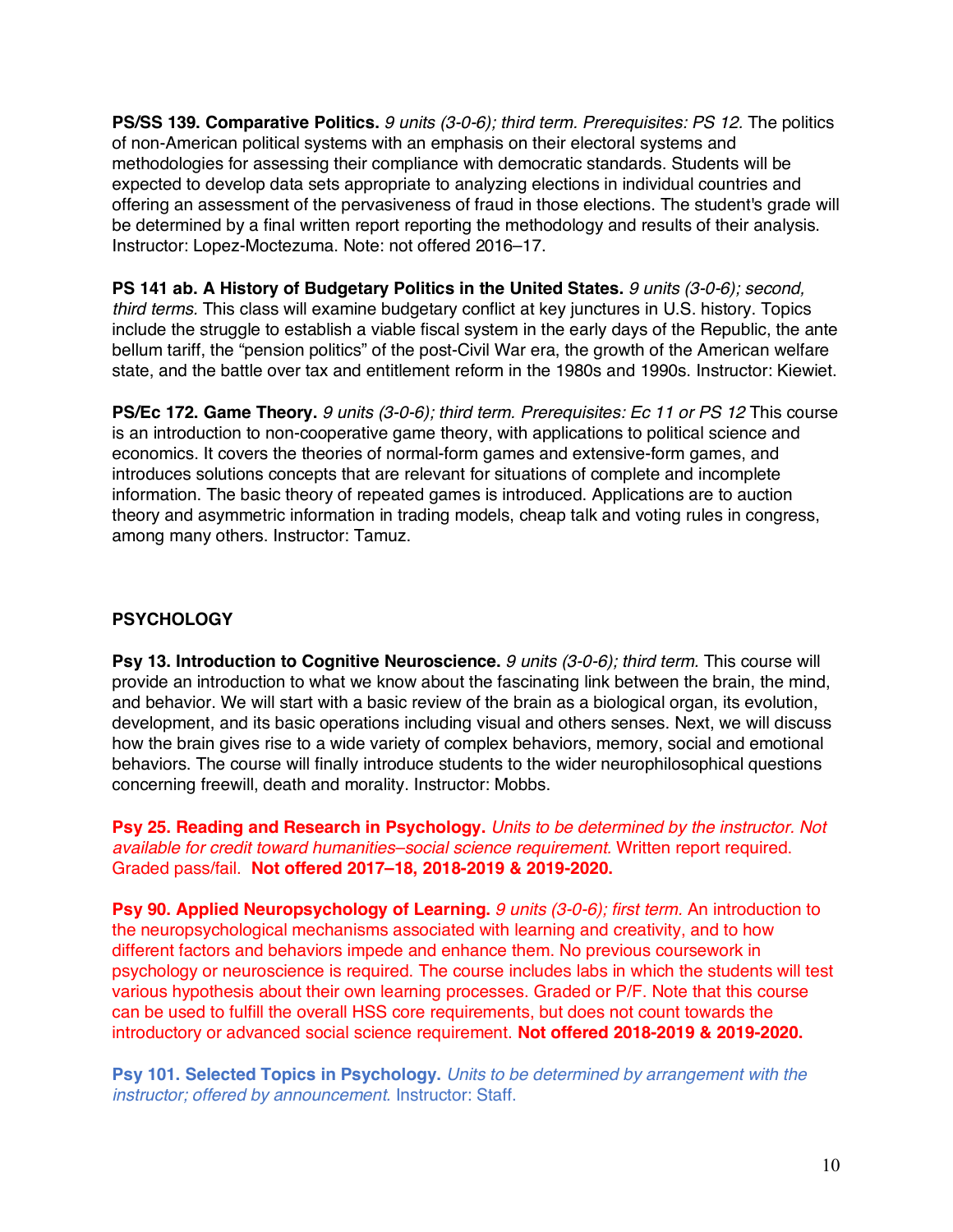**PS/SS 139. Comparative Politics.** *9 units (3-0-6); third term. Prerequisites: PS 12.* The politics of non-American political systems with an emphasis on their electoral systems and methodologies for assessing their compliance with democratic standards. Students will be expected to develop data sets appropriate to analyzing elections in individual countries and offering an assessment of the pervasiveness of fraud in those elections. The student's grade will be determined by a final written report reporting the methodology and results of their analysis. Instructor: Lopez-Moctezuma. Note: not offered 2016–17.

**PS 141 ab. A History of Budgetary Politics in the United States.** *9 units (3-0-6); second, third terms.* This class will examine budgetary conflict at key junctures in U.S. history. Topics include the struggle to establish a viable fiscal system in the early days of the Republic, the ante bellum tariff, the "pension politics" of the post-Civil War era, the growth of the American welfare state, and the battle over tax and entitlement reform in the 1980s and 1990s. Instructor: Kiewiet.

**PS/Ec 172. Game Theory.** *9 units (3-0-6); third term. Prerequisites: Ec 11 or PS 12* This course is an introduction to non-cooperative game theory, with applications to political science and economics. It covers the theories of normal-form games and extensive-form games, and introduces solutions concepts that are relevant for situations of complete and incomplete information. The basic theory of repeated games is introduced. Applications are to auction theory and asymmetric information in trading models, cheap talk and voting rules in congress, among many others. Instructor: Tamuz.

# **PSYCHOLOGY**

**Psy 13. Introduction to Cognitive Neuroscience.** *9 units (3-0-6); third term.* This course will provide an introduction to what we know about the fascinating link between the brain, the mind, and behavior. We will start with a basic review of the brain as a biological organ, its evolution, development, and its basic operations including visual and others senses. Next, we will discuss how the brain gives rise to a wide variety of complex behaviors, memory, social and emotional behaviors. The course will finally introduce students to the wider neurophilosophical questions concerning freewill, death and morality. Instructor: Mobbs.

**Psy 25. Reading and Research in Psychology.** *Units to be determined by the instructor. Not available for credit toward humanities–social science requirement.* Written report required. Graded pass/fail. **Not offered 2017–18, 2018-2019 & 2019-2020.**

**Psy 90. Applied Neuropsychology of Learning.** *9 units (3-0-6); first term.* An introduction to the neuropsychological mechanisms associated with learning and creativity, and to how different factors and behaviors impede and enhance them. No previous coursework in psychology or neuroscience is required. The course includes labs in which the students will test various hypothesis about their own learning processes. Graded or P/F. Note that this course can be used to fulfill the overall HSS core requirements, but does not count towards the introductory or advanced social science requirement. **Not offered 2018-2019 & 2019-2020.**

**Psy 101. Selected Topics in Psychology.** *Units to be determined by arrangement with the instructor; offered by announcement.* Instructor: Staff.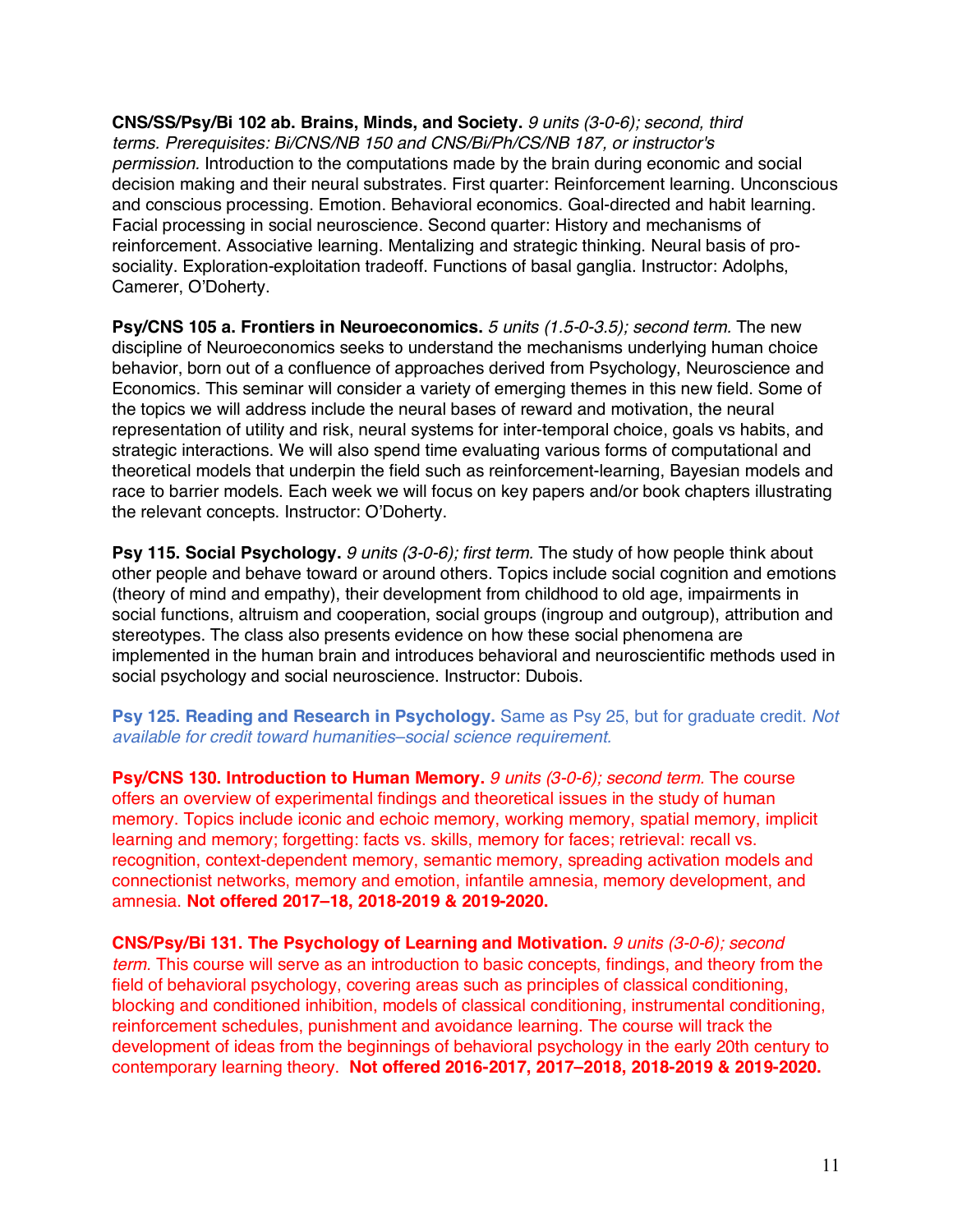**CNS/SS/Psy/Bi 102 ab. Brains, Minds, and Society.** *9 units (3-0-6); second, third terms. Prerequisites: Bi/CNS/NB 150 and CNS/Bi/Ph/CS/NB 187, or instructor's permission.* Introduction to the computations made by the brain during economic and social decision making and their neural substrates. First quarter: Reinforcement learning. Unconscious and conscious processing. Emotion. Behavioral economics. Goal-directed and habit learning. Facial processing in social neuroscience. Second quarter: History and mechanisms of reinforcement. Associative learning. Mentalizing and strategic thinking. Neural basis of prosociality. Exploration-exploitation tradeoff. Functions of basal ganglia. Instructor: Adolphs, Camerer, O'Doherty.

**Psy/CNS 105 a. Frontiers in Neuroeconomics.** *5 units (1.5-0-3.5); second term.* The new discipline of Neuroeconomics seeks to understand the mechanisms underlying human choice behavior, born out of a confluence of approaches derived from Psychology, Neuroscience and Economics. This seminar will consider a variety of emerging themes in this new field. Some of the topics we will address include the neural bases of reward and motivation, the neural representation of utility and risk, neural systems for inter-temporal choice, goals vs habits, and strategic interactions. We will also spend time evaluating various forms of computational and theoretical models that underpin the field such as reinforcement-learning, Bayesian models and race to barrier models. Each week we will focus on key papers and/or book chapters illustrating the relevant concepts. Instructor: O'Doherty.

**Psy 115. Social Psychology.** *9 units (3-0-6); first term.* The study of how people think about other people and behave toward or around others. Topics include social cognition and emotions (theory of mind and empathy), their development from childhood to old age, impairments in social functions, altruism and cooperation, social groups (ingroup and outgroup), attribution and stereotypes. The class also presents evidence on how these social phenomena are implemented in the human brain and introduces behavioral and neuroscientific methods used in social psychology and social neuroscience. Instructor: Dubois.

**Psy 125. Reading and Research in Psychology.** Same as Psy 25, but for graduate credit. *Not available for credit toward humanities–social science requirement.* 

**Psy/CNS 130. Introduction to Human Memory.** *9 units (3-0-6); second term.* The course offers an overview of experimental findings and theoretical issues in the study of human memory. Topics include iconic and echoic memory, working memory, spatial memory, implicit learning and memory; forgetting: facts vs. skills, memory for faces; retrieval: recall vs. recognition, context-dependent memory, semantic memory, spreading activation models and connectionist networks, memory and emotion, infantile amnesia, memory development, and amnesia. **Not offered 2017–18, 2018-2019 & 2019-2020.**

**CNS/Psy/Bi 131. The Psychology of Learning and Motivation.** *9 units (3-0-6); second term.* This course will serve as an introduction to basic concepts, findings, and theory from the field of behavioral psychology, covering areas such as principles of classical conditioning, blocking and conditioned inhibition, models of classical conditioning, instrumental conditioning, reinforcement schedules, punishment and avoidance learning. The course will track the development of ideas from the beginnings of behavioral psychology in the early 20th century to contemporary learning theory. **Not offered 2016-2017, 2017–2018, 2018-2019 & 2019-2020.**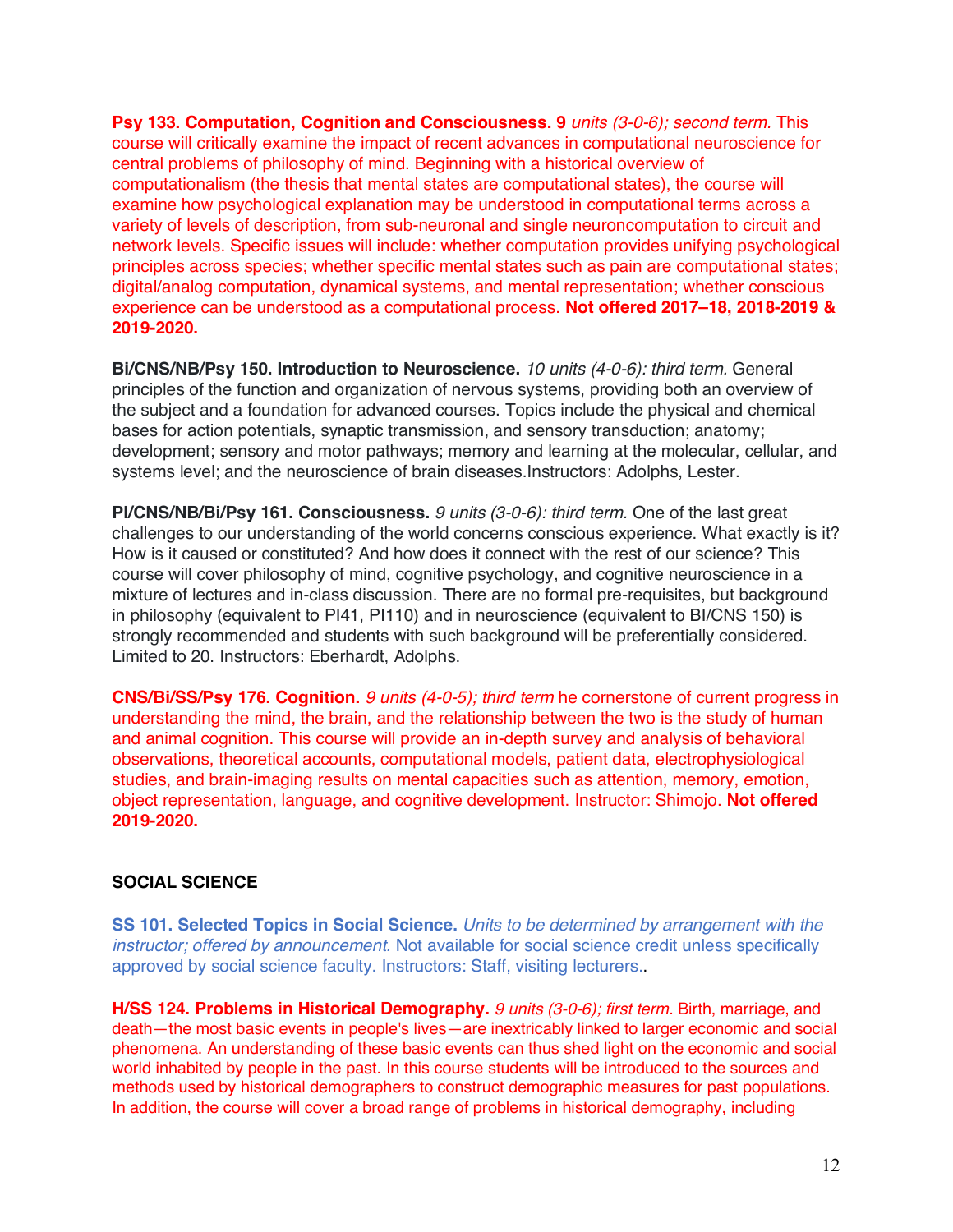**Psy 133. Computation, Cognition and Consciousness. 9** *units (3-0-6); second term.* This course will critically examine the impact of recent advances in computational neuroscience for central problems of philosophy of mind. Beginning with a historical overview of computationalism (the thesis that mental states are computational states), the course will examine how psychological explanation may be understood in computational terms across a variety of levels of description, from sub-neuronal and single neuroncomputation to circuit and network levels. Specific issues will include: whether computation provides unifying psychological principles across species; whether specific mental states such as pain are computational states; digital/analog computation, dynamical systems, and mental representation; whether conscious experience can be understood as a computational process. **Not offered 2017–18, 2018-2019 & 2019-2020.**

**Bi/CNS/NB/Psy 150. Introduction to Neuroscience.** *10 units (4-0-6): third term.* General principles of the function and organization of nervous systems, providing both an overview of the subject and a foundation for advanced courses. Topics include the physical and chemical bases for action potentials, synaptic transmission, and sensory transduction; anatomy; development; sensory and motor pathways; memory and learning at the molecular, cellular, and systems level; and the neuroscience of brain diseases.Instructors: Adolphs, Lester.

**Pl/CNS/NB/Bi/Psy 161. Consciousness.** *9 units (3-0-6): third term.* One of the last great challenges to our understanding of the world concerns conscious experience. What exactly is it? How is it caused or constituted? And how does it connect with the rest of our science? This course will cover philosophy of mind, cognitive psychology, and cognitive neuroscience in a mixture of lectures and in-class discussion. There are no formal pre-requisites, but background in philosophy (equivalent to PI41, PI110) and in neuroscience (equivalent to BI/CNS 150) is strongly recommended and students with such background will be preferentially considered. Limited to 20. Instructors: Eberhardt, Adolphs.

**CNS/Bi/SS/Psy 176. Cognition.** *9 units (4-0-5); third term* he cornerstone of current progress in understanding the mind, the brain, and the relationship between the two is the study of human and animal cognition. This course will provide an in-depth survey and analysis of behavioral observations, theoretical accounts, computational models, patient data, electrophysiological studies, and brain-imaging results on mental capacities such as attention, memory, emotion, object representation, language, and cognitive development. Instructor: Shimojo. **Not offered 2019-2020.**

### **SOCIAL SCIENCE**

**SS 101. Selected Topics in Social Science.** *Units to be determined by arrangement with the instructor; offered by announcement.* Not available for social science credit unless specifically approved by social science faculty. Instructors: Staff, visiting lecturers..

**H/SS 124. Problems in Historical Demography.** *9 units (3-0-6); first term.* Birth, marriage, and death—the most basic events in people's lives—are inextricably linked to larger economic and social phenomena. An understanding of these basic events can thus shed light on the economic and social world inhabited by people in the past. In this course students will be introduced to the sources and methods used by historical demographers to construct demographic measures for past populations. In addition, the course will cover a broad range of problems in historical demography, including